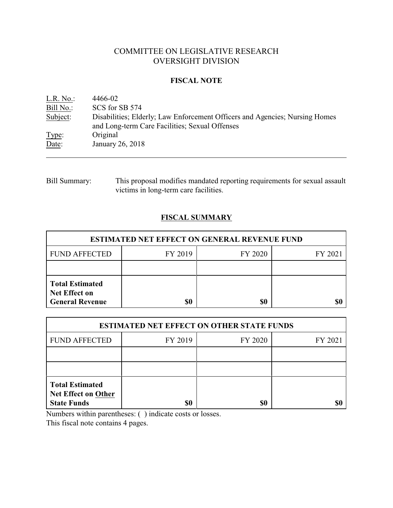# COMMITTEE ON LEGISLATIVE RESEARCH OVERSIGHT DIVISION

#### **FISCAL NOTE**

| L.R. No.  | 4466-02                                                                                                                       |
|-----------|-------------------------------------------------------------------------------------------------------------------------------|
| Bill No.: | SCS for SB 574                                                                                                                |
| Subject:  | Disabilities; Elderly; Law Enforcement Officers and Agencies; Nursing Homes<br>and Long-term Care Facilities; Sexual Offenses |
| Type:     | Original                                                                                                                      |
| Date:     | January 26, 2018                                                                                                              |

# Bill Summary: This proposal modifies mandated reporting requirements for sexual assault victims in long-term care facilities.

# **FISCAL SUMMARY**

| <b>ESTIMATED NET EFFECT ON GENERAL REVENUE FUND</b>                      |         |         |         |  |  |
|--------------------------------------------------------------------------|---------|---------|---------|--|--|
| <b>FUND AFFECTED</b>                                                     | FY 2019 | FY 2020 | FY 2021 |  |  |
|                                                                          |         |         |         |  |  |
| <b>Total Estimated</b><br><b>Net Effect on</b><br><b>General Revenue</b> | \$0     | \$0     |         |  |  |

| <b>ESTIMATED NET EFFECT ON OTHER STATE FUNDS</b>                           |         |         |         |  |
|----------------------------------------------------------------------------|---------|---------|---------|--|
| <b>FUND AFFECTED</b>                                                       | FY 2019 | FY 2020 | FY 2021 |  |
|                                                                            |         |         |         |  |
|                                                                            |         |         |         |  |
| <b>Total Estimated</b><br><b>Net Effect on Other</b><br><b>State Funds</b> | \$0     | \$0     |         |  |

Numbers within parentheses: ( ) indicate costs or losses.

This fiscal note contains 4 pages.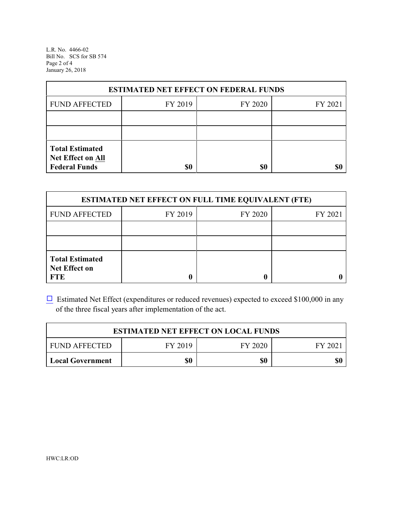L.R. No. 4466-02 Bill No. SCS for SB 574 Page 2 of 4 January 26, 2018

| <b>ESTIMATED NET EFFECT ON FEDERAL FUNDS</b>                        |         |         |         |  |  |
|---------------------------------------------------------------------|---------|---------|---------|--|--|
| <b>FUND AFFECTED</b>                                                | FY 2019 | FY 2020 | FY 2021 |  |  |
|                                                                     |         |         |         |  |  |
|                                                                     |         |         |         |  |  |
| <b>Total Estimated</b><br>Net Effect on All<br><b>Federal Funds</b> | \$0     | \$0     |         |  |  |

| <b>ESTIMATED NET EFFECT ON FULL TIME EQUIVALENT (FTE)</b>    |         |         |         |  |
|--------------------------------------------------------------|---------|---------|---------|--|
| <b>FUND AFFECTED</b>                                         | FY 2019 | FY 2020 | FY 2021 |  |
|                                                              |         |         |         |  |
|                                                              |         |         |         |  |
| <b>Total Estimated</b><br><b>Net Effect on</b><br><b>FTE</b> |         |         |         |  |

 $\Box$  Estimated Net Effect (expenditures or reduced revenues) expected to exceed \$100,000 in any of the three fiscal years after implementation of the act.

| <b>ESTIMATED NET EFFECT ON LOCAL FUNDS</b> |         |         |        |  |
|--------------------------------------------|---------|---------|--------|--|
| <b>FUND AFFECTED</b>                       | FY 2019 | FY 2020 | FY 202 |  |
| <b>Local Government</b>                    | \$0     | \$0     | \$0    |  |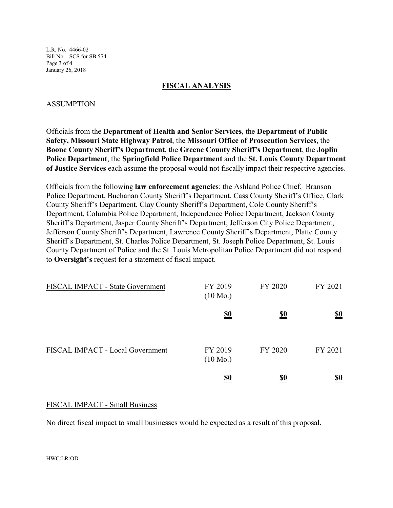L.R. No. 4466-02 Bill No. SCS for SB 574 Page 3 of 4 January 26, 2018

#### **FISCAL ANALYSIS**

### ASSUMPTION

Officials from the **Department of Health and Senior Services**, the **Department of Public Safety, Missouri State Highway Patrol**, the **Missouri Office of Prosecution Services**, the **Boone County Sheriff's Department**, the **Greene County Sheriff's Department**, the **Joplin Police Department**, the **Springfield Police Department** and the **St. Louis County Department of Justice Services** each assume the proposal would not fiscally impact their respective agencies.

Officials from the following **law enforcement agencies**: the Ashland Police Chief, Branson Police Department, Buchanan County Sheriff's Department, Cass County Sheriff's Office, Clark County Sheriff's Department, Clay County Sheriff's Department, Cole County Sheriff's Department, Columbia Police Department, Independence Police Department, Jackson County Sheriff's Department, Jasper County Sheriff's Department, Jefferson City Police Department, Jefferson County Sheriff's Department, Lawrence County Sheriff's Department, Platte County Sheriff's Department, St. Charles Police Department, St. Joseph Police Department, St. Louis County Department of Police and the St. Louis Metropolitan Police Department did not respond to **Oversight's** request for a statement of fiscal impact.

| FISCAL IMPACT - State Government | FY 2019<br>$(10 \text{ Mo.})$ | FY 2020    | FY 2021                       |
|----------------------------------|-------------------------------|------------|-------------------------------|
|                                  | <u>\$0</u>                    | <u>\$0</u> | $\underline{\underline{\$0}}$ |
| FISCAL IMPACT - Local Government | FY 2019<br>$(10 \text{ Mo.})$ | FY 2020    | FY 2021                       |
|                                  | <u>\$0</u>                    | <u>\$0</u> | <u>\$0</u>                    |

### FISCAL IMPACT - Small Business

No direct fiscal impact to small businesses would be expected as a result of this proposal.